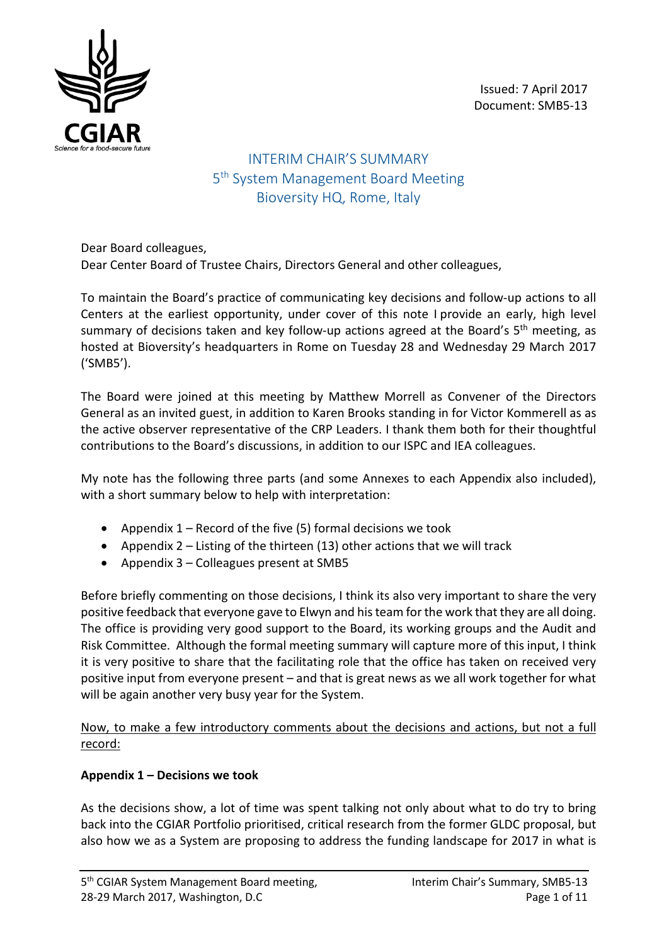Issued: 7 April 2017 Document: SMB5-13



INTERIM CHAIR'S SUMMARY 5<sup>th</sup> System Management Board Meeting Bioversity HQ, Rome, Italy

Dear Board colleagues, Dear Center Board of Trustee Chairs, Directors General and other colleagues,

To maintain the Board's practice of communicating key decisions and follow-up actions to all Centers at the earliest opportunity, under cover of this note I provide an early, high level summary of decisions taken and key follow-up actions agreed at the Board's  $5<sup>th</sup>$  meeting, as hosted at Bioversity's headquarters in Rome on Tuesday 28 and Wednesday 29 March 2017 ('SMB5').

The Board were joined at this meeting by Matthew Morrell as Convener of the Directors General as an invited guest, in addition to Karen Brooks standing in for Victor Kommerell as as the active observer representative of the CRP Leaders. I thank them both for their thoughtful contributions to the Board's discussions, in addition to our ISPC and IEA colleagues.

My note has the following three parts (and some Annexes to each Appendix also included), with a short summary below to help with interpretation:

- Appendix  $1$  Record of the five (5) formal decisions we took
- Appendix 2 Listing of the thirteen (13) other actions that we will track
- Appendix 3 Colleagues present at SMB5

Before briefly commenting on those decisions, I think its also very important to share the very positive feedback that everyone gave to Elwyn and his team for the work that they are all doing. The office is providing very good support to the Board, its working groups and the Audit and Risk Committee. Although the formal meeting summary will capture more of this input, I think it is very positive to share that the facilitating role that the office has taken on received very positive input from everyone present – and that is great news as we all work together for what will be again another very busy year for the System.

Now, to make a few introductory comments about the decisions and actions, but not a full record:

#### **Appendix 1 – Decisions we took**

As the decisions show, a lot of time was spent talking not only about what to do try to bring back into the CGIAR Portfolio prioritised, critical research from the former GLDC proposal, but also how we as a System are proposing to address the funding landscape for 2017 in what is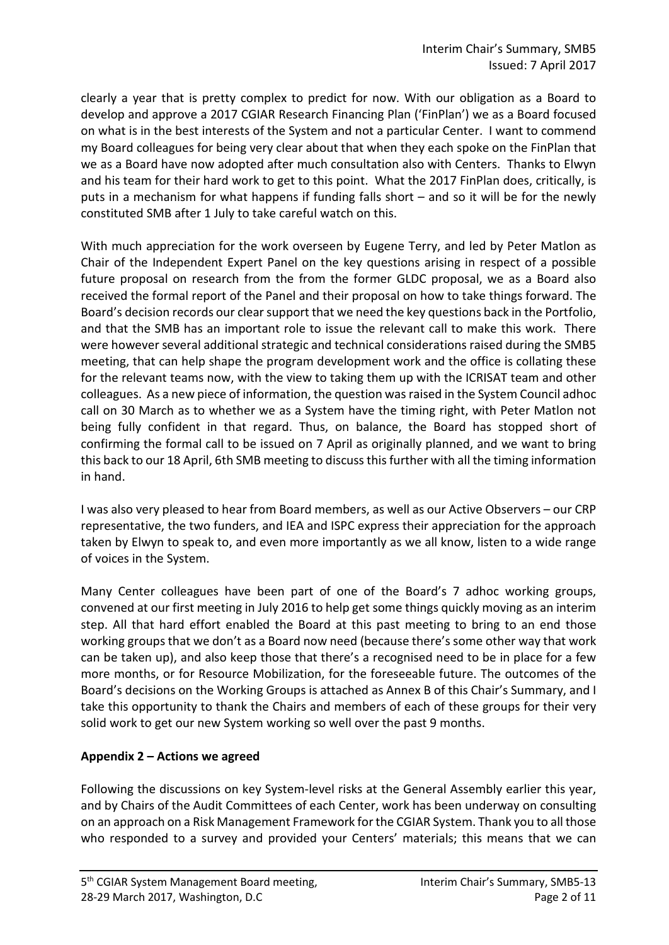clearly a year that is pretty complex to predict for now. With our obligation as a Board to develop and approve a 2017 CGIAR Research Financing Plan ('FinPlan') we as a Board focused on what is in the best interests of the System and not a particular Center. I want to commend my Board colleagues for being very clear about that when they each spoke on the FinPlan that we as a Board have now adopted after much consultation also with Centers. Thanks to Elwyn and his team for their hard work to get to this point. What the 2017 FinPlan does, critically, is puts in a mechanism for what happens if funding falls short – and so it will be for the newly constituted SMB after 1 July to take careful watch on this.

With much appreciation for the work overseen by Eugene Terry, and led by Peter Matlon as Chair of the Independent Expert Panel on the key questions arising in respect of a possible future proposal on research from the from the former GLDC proposal, we as a Board also received the formal report of the Panel and their proposal on how to take things forward. The Board's decision records our clear support that we need the key questions back in the Portfolio, and that the SMB has an important role to issue the relevant call to make this work. There were however several additional strategic and technical considerations raised during the SMB5 meeting, that can help shape the program development work and the office is collating these for the relevant teams now, with the view to taking them up with the ICRISAT team and other colleagues. As a new piece of information, the question was raised in the System Council adhoc call on 30 March as to whether we as a System have the timing right, with Peter Matlon not being fully confident in that regard. Thus, on balance, the Board has stopped short of confirming the formal call to be issued on 7 April as originally planned, and we want to bring this back to our 18 April, 6th SMB meeting to discuss this further with all the timing information in hand.

I was also very pleased to hear from Board members, as well as our Active Observers – our CRP representative, the two funders, and IEA and ISPC express their appreciation for the approach taken by Elwyn to speak to, and even more importantly as we all know, listen to a wide range of voices in the System.

Many Center colleagues have been part of one of the Board's 7 adhoc working groups, convened at our first meeting in July 2016 to help get some things quickly moving as an interim step. All that hard effort enabled the Board at this past meeting to bring to an end those working groups that we don't as a Board now need (because there's some other way that work can be taken up), and also keep those that there's a recognised need to be in place for a few more months, or for Resource Mobilization, for the foreseeable future. The outcomes of the Board's decisions on the Working Groups is attached as Annex B of this Chair's Summary, and I take this opportunity to thank the Chairs and members of each of these groups for their very solid work to get our new System working so well over the past 9 months.

#### **Appendix 2 – Actions we agreed**

Following the discussions on key System-level risks at the General Assembly earlier this year, and by Chairs of the Audit Committees of each Center, work has been underway on consulting on an approach on a Risk Management Framework for the CGIAR System. Thank you to all those who responded to a survey and provided your Centers' materials; this means that we can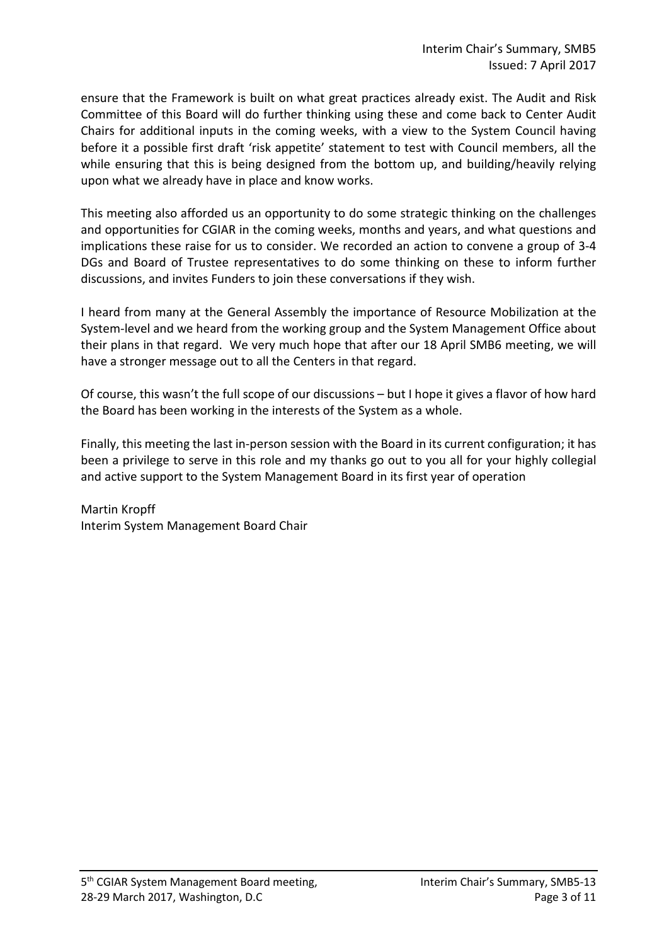ensure that the Framework is built on what great practices already exist. The Audit and Risk Committee of this Board will do further thinking using these and come back to Center Audit Chairs for additional inputs in the coming weeks, with a view to the System Council having before it a possible first draft 'risk appetite' statement to test with Council members, all the while ensuring that this is being designed from the bottom up, and building/heavily relying upon what we already have in place and know works.

This meeting also afforded us an opportunity to do some strategic thinking on the challenges and opportunities for CGIAR in the coming weeks, months and years, and what questions and implications these raise for us to consider. We recorded an action to convene a group of 3-4 DGs and Board of Trustee representatives to do some thinking on these to inform further discussions, and invites Funders to join these conversations if they wish.

I heard from many at the General Assembly the importance of Resource Mobilization at the System-level and we heard from the working group and the System Management Office about their plans in that regard. We very much hope that after our 18 April SMB6 meeting, we will have a stronger message out to all the Centers in that regard.

Of course, this wasn't the full scope of our discussions – but I hope it gives a flavor of how hard the Board has been working in the interests of the System as a whole.

Finally, this meeting the last in-person session with the Board in its current configuration; it has been a privilege to serve in this role and my thanks go out to you all for your highly collegial and active support to the System Management Board in its first year of operation

Martin Kropff Interim System Management Board Chair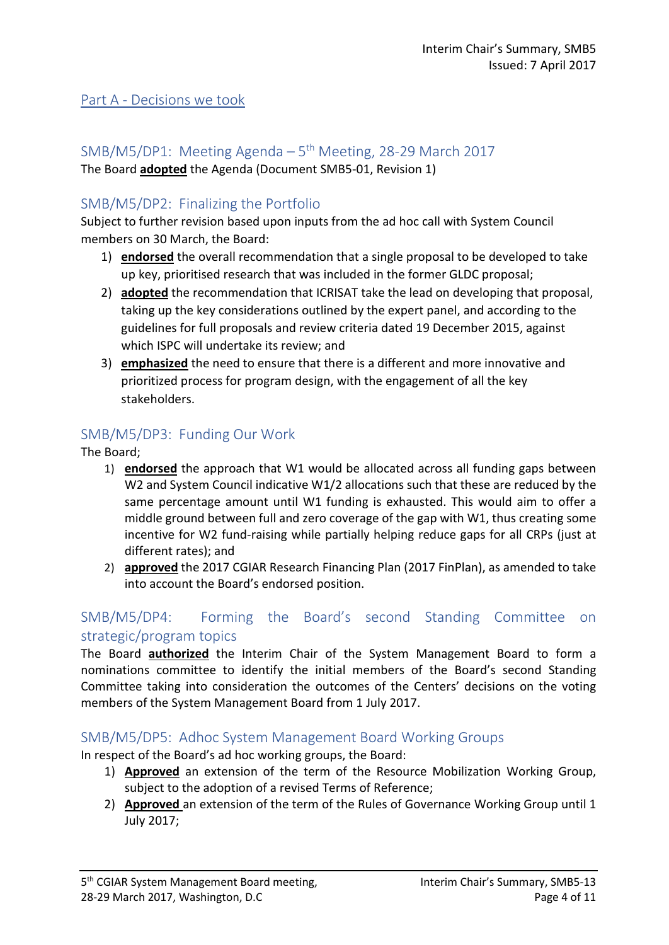#### Part A - Decisions we took

# SMB/M5/DP1: Meeting Agenda  $-5<sup>th</sup>$  Meeting, 28-29 March 2017

The Board **adopted** the Agenda (Document SMB5-01, Revision 1)

## SMB/M5/DP2: Finalizing the Portfolio

Subject to further revision based upon inputs from the ad hoc call with System Council members on 30 March, the Board:

- 1) **endorsed** the overall recommendation that a single proposal to be developed to take up key, prioritised research that was included in the former GLDC proposal;
- 2) **adopted** the recommendation that ICRISAT take the lead on developing that proposal, taking up the key considerations outlined by the expert panel, and according to the guidelines for full proposals and review criteria dated 19 December 2015, against which ISPC will undertake its review; and
- 3) **emphasized** the need to ensure that there is a different and more innovative and prioritized process for program design, with the engagement of all the key stakeholders.

## SMB/M5/DP3: Funding Our Work

The Board;

- 1) **endorsed** the approach that W1 would be allocated across all funding gaps between W2 and System Council indicative W1/2 allocations such that these are reduced by the same percentage amount until W1 funding is exhausted. This would aim to offer a middle ground between full and zero coverage of the gap with W1, thus creating some incentive for W2 fund-raising while partially helping reduce gaps for all CRPs (just at different rates); and
- 2) **approved** the 2017 CGIAR Research Financing Plan (2017 FinPlan), as amended to take into account the Board's endorsed position.

## SMB/M5/DP4: Forming the Board's second Standing Committee on strategic/program topics

The Board **authorized** the Interim Chair of the System Management Board to form a nominations committee to identify the initial members of the Board's second Standing Committee taking into consideration the outcomes of the Centers' decisions on the voting members of the System Management Board from 1 July 2017.

## SMB/M5/DP5: Adhoc System Management Board Working Groups

In respect of the Board's ad hoc working groups, the Board:

- 1) **Approved** an extension of the term of the Resource Mobilization Working Group, subject to the adoption of a revised Terms of Reference;
- 2) **Approved** an extension of the term of the Rules of Governance Working Group until 1 July 2017;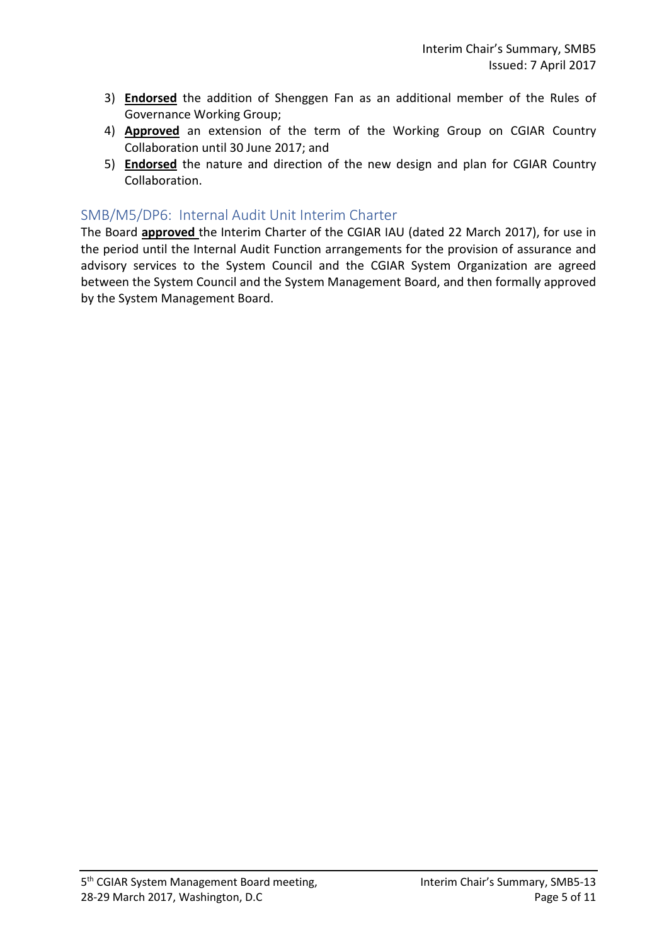- 3) **Endorsed** the addition of Shenggen Fan as an additional member of the Rules of Governance Working Group;
- 4) **Approved** an extension of the term of the Working Group on CGIAR Country Collaboration until 30 June 2017; and
- 5) **Endorsed** the nature and direction of the new design and plan for CGIAR Country Collaboration.

### SMB/M5/DP6: Internal Audit Unit Interim Charter

The Board **approved** the Interim Charter of the CGIAR IAU (dated 22 March 2017), for use in the period until the Internal Audit Function arrangements for the provision of assurance and advisory services to the System Council and the CGIAR System Organization are agreed between the System Council and the System Management Board, and then formally approved by the System Management Board.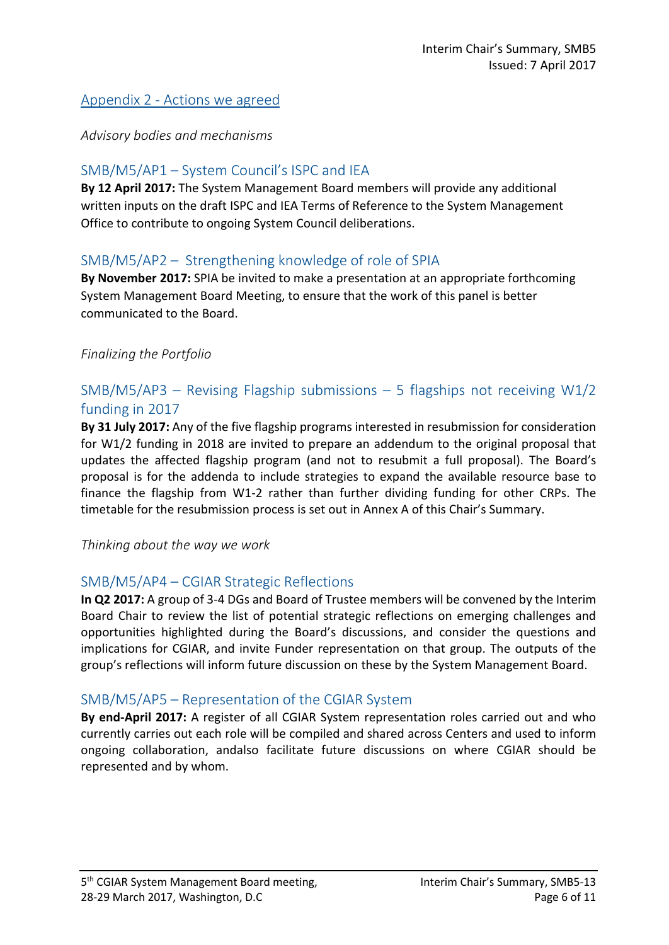## Appendix 2 - Actions we agreed

*Advisory bodies and mechanisms*

## SMB/M5/AP1 – System Council's ISPC and IEA

**By 12 April 2017:** The System Management Board members will provide any additional written inputs on the draft ISPC and IEA Terms of Reference to the System Management Office to contribute to ongoing System Council deliberations.

### SMB/M5/AP2 – Strengthening knowledge of role of SPIA

**By November 2017:** SPIA be invited to make a presentation at an appropriate forthcoming System Management Board Meeting, to ensure that the work of this panel is better communicated to the Board.

#### *Finalizing the Portfolio*

## SMB/M5/AP3 – Revising Flagship submissions – 5 flagships not receiving  $W1/2$ funding in 2017

**By 31 July 2017:** Any of the five flagship programs interested in resubmission for consideration for W1/2 funding in 2018 are invited to prepare an addendum to the original proposal that updates the affected flagship program (and not to resubmit a full proposal). The Board's proposal is for the addenda to include strategies to expand the available resource base to finance the flagship from W1-2 rather than further dividing funding for other CRPs. The timetable for the resubmission process is set out in Annex A of this Chair's Summary.

*Thinking about the way we work*

## SMB/M5/AP4 – CGIAR Strategic Reflections

**In Q2 2017:** A group of 3-4 DGs and Board of Trustee members will be convened by the Interim Board Chair to review the list of potential strategic reflections on emerging challenges and opportunities highlighted during the Board's discussions, and consider the questions and implications for CGIAR, and invite Funder representation on that group. The outputs of the group's reflections will inform future discussion on these by the System Management Board.

#### SMB/M5/AP5 – Representation of the CGIAR System

**By end-April 2017:** A register of all CGIAR System representation roles carried out and who currently carries out each role will be compiled and shared across Centers and used to inform ongoing collaboration, andalso facilitate future discussions on where CGIAR should be represented and by whom.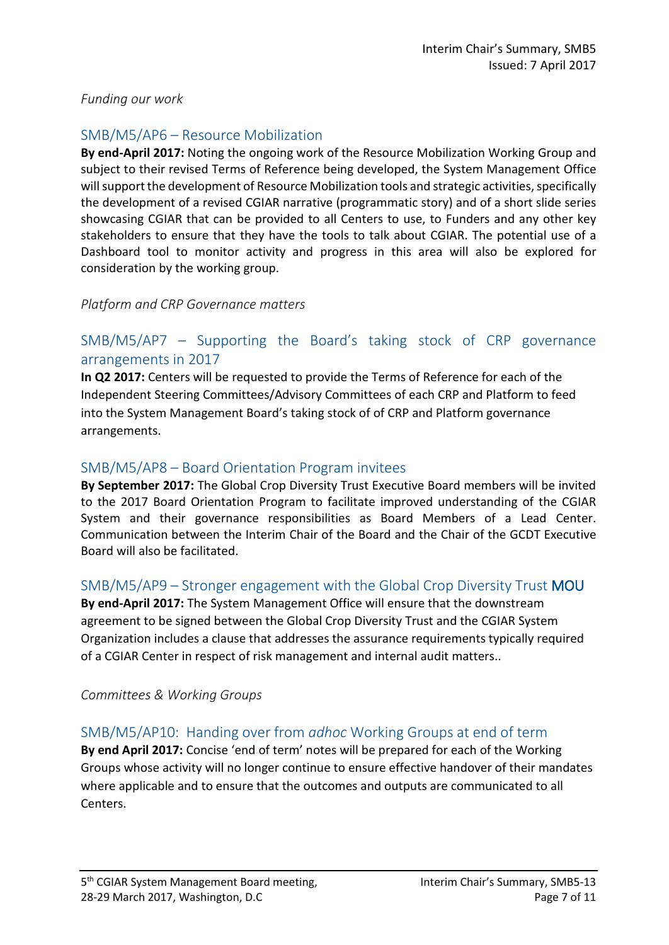#### *Funding our work*

## SMB/M5/AP6 – Resource Mobilization

**By end-April 2017:** Noting the ongoing work of the Resource Mobilization Working Group and subject to their revised Terms of Reference being developed, the System Management Office will support the development of Resource Mobilization tools and strategic activities, specifically the development of a revised CGIAR narrative (programmatic story) and of a short slide series showcasing CGIAR that can be provided to all Centers to use, to Funders and any other key stakeholders to ensure that they have the tools to talk about CGIAR. The potential use of a Dashboard tool to monitor activity and progress in this area will also be explored for consideration by the working group.

#### *Platform and CRP Governance matters*

## SMB/M5/AP7 – Supporting the Board's taking stock of CRP governance arrangements in 2017

**In Q2 2017:** Centers will be requested to provide the Terms of Reference for each of the Independent Steering Committees/Advisory Committees of each CRP and Platform to feed into the System Management Board's taking stock of of CRP and Platform governance arrangements.

#### SMB/M5/AP8 – Board Orientation Program invitees

**By September 2017:** The Global Crop Diversity Trust Executive Board members will be invited to the 2017 Board Orientation Program to facilitate improved understanding of the CGIAR System and their governance responsibilities as Board Members of a Lead Center. Communication between the Interim Chair of the Board and the Chair of the GCDT Executive Board will also be facilitated.

#### SMB/M5/AP9 – Stronger engagement with the Global Crop Diversity Trust MOU

**By end-April 2017:** The System Management Office will ensure that the downstream agreement to be signed between the Global Crop Diversity Trust and the CGIAR System Organization includes a clause that addresses the assurance requirements typically required of a CGIAR Center in respect of risk management and internal audit matters..

#### *Committees & Working Groups*

## SMB/M5/AP10: Handing over from *adhoc* Working Groups at end of term

**By end April 2017:** Concise 'end of term' notes will be prepared for each of the Working Groups whose activity will no longer continue to ensure effective handover of their mandates where applicable and to ensure that the outcomes and outputs are communicated to all Centers.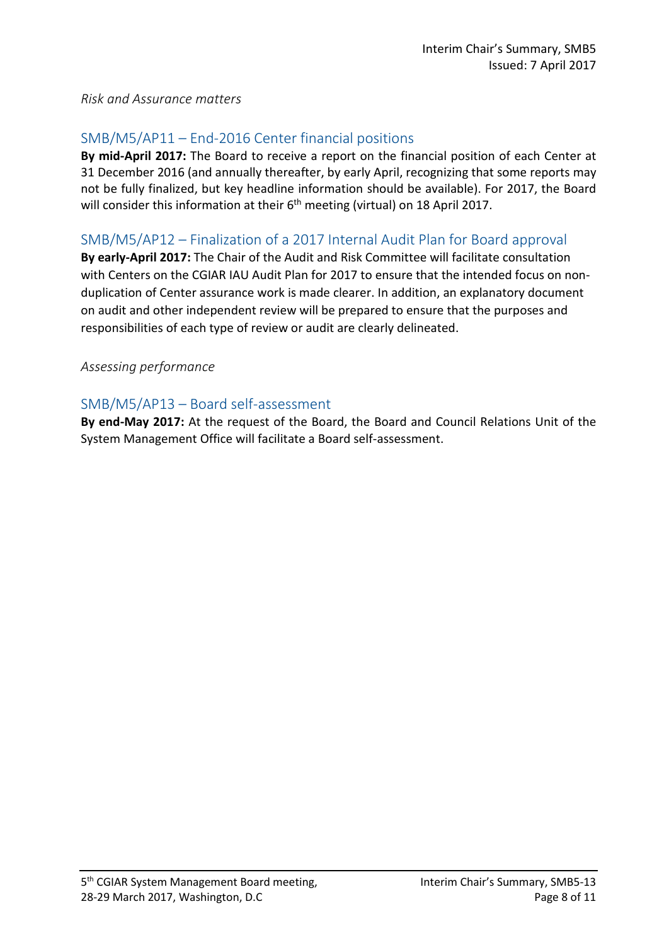#### *Risk and Assurance matters*

## SMB/M5/AP11 – End-2016 Center financial positions

**By mid-April 2017:** The Board to receive a report on the financial position of each Center at 31 December 2016 (and annually thereafter, by early April, recognizing that some reports may not be fully finalized, but key headline information should be available). For 2017, the Board will consider this information at their  $6<sup>th</sup>$  meeting (virtual) on 18 April 2017.

### SMB/M5/AP12 – Finalization of a 2017 Internal Audit Plan for Board approval

**By early-April 2017:** The Chair of the Audit and Risk Committee will facilitate consultation with Centers on the CGIAR IAU Audit Plan for 2017 to ensure that the intended focus on nonduplication of Center assurance work is made clearer. In addition, an explanatory document on audit and other independent review will be prepared to ensure that the purposes and responsibilities of each type of review or audit are clearly delineated.

#### *Assessing performance*

### SMB/M5/AP13 – Board self-assessment

**By end-May 2017:** At the request of the Board, the Board and Council Relations Unit of the System Management Office will facilitate a Board self-assessment.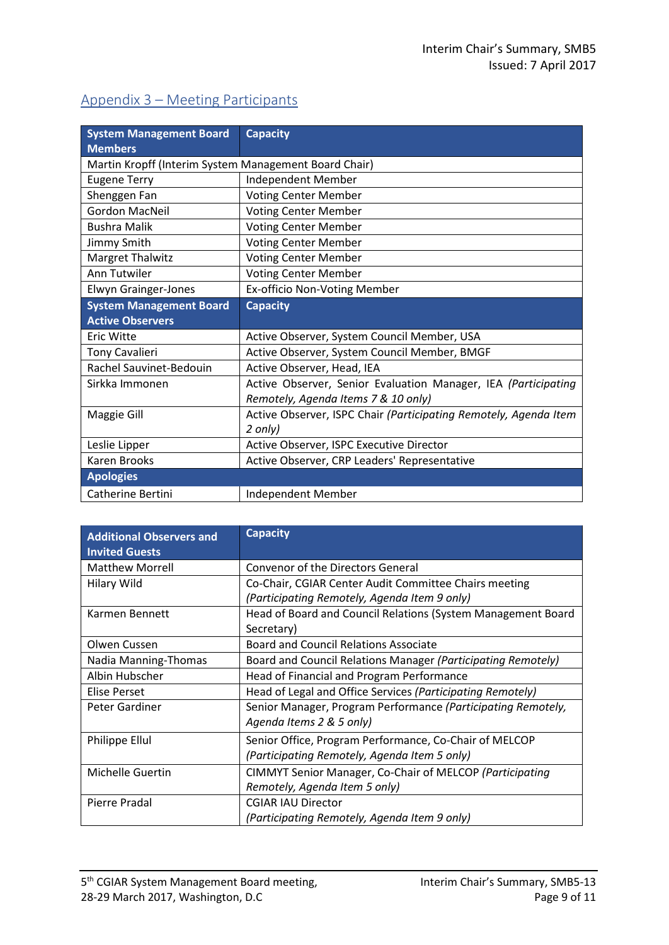# Appendix 3 – Meeting Participants

| <b>System Management Board</b>                        | <b>Capacity</b>                                                  |  |
|-------------------------------------------------------|------------------------------------------------------------------|--|
| <b>Members</b>                                        |                                                                  |  |
| Martin Kropff (Interim System Management Board Chair) |                                                                  |  |
| <b>Eugene Terry</b>                                   | Independent Member                                               |  |
| Shenggen Fan                                          | <b>Voting Center Member</b>                                      |  |
| Gordon MacNeil                                        | <b>Voting Center Member</b>                                      |  |
| <b>Bushra Malik</b>                                   | <b>Voting Center Member</b>                                      |  |
| Jimmy Smith                                           | <b>Voting Center Member</b>                                      |  |
| <b>Margret Thalwitz</b>                               | <b>Voting Center Member</b>                                      |  |
| Ann Tutwiler                                          | <b>Voting Center Member</b>                                      |  |
| <b>Elwyn Grainger-Jones</b>                           | Ex-officio Non-Voting Member                                     |  |
| <b>System Management Board</b>                        | <b>Capacity</b>                                                  |  |
| <b>Active Observers</b>                               |                                                                  |  |
| <b>Eric Witte</b>                                     | Active Observer, System Council Member, USA                      |  |
| <b>Tony Cavalieri</b>                                 | Active Observer, System Council Member, BMGF                     |  |
| Rachel Sauvinet-Bedouin                               | Active Observer, Head, IEA                                       |  |
| Sirkka Immonen                                        | Active Observer, Senior Evaluation Manager, IEA (Participating   |  |
|                                                       | Remotely, Agenda Items 7 & 10 only)                              |  |
| Maggie Gill                                           | Active Observer, ISPC Chair (Participating Remotely, Agenda Item |  |
|                                                       | 2 only)                                                          |  |
| Leslie Lipper                                         | Active Observer, ISPC Executive Director                         |  |
| <b>Karen Brooks</b>                                   | Active Observer, CRP Leaders' Representative                     |  |
| <b>Apologies</b>                                      |                                                                  |  |
| Catherine Bertini                                     | Independent Member                                               |  |

| <b>Additional Observers and</b><br><b>Invited Guests</b> | <b>Capacity</b>                                              |
|----------------------------------------------------------|--------------------------------------------------------------|
| <b>Matthew Morrell</b>                                   | <b>Convenor of the Directors General</b>                     |
| <b>Hilary Wild</b>                                       | Co-Chair, CGIAR Center Audit Committee Chairs meeting        |
|                                                          | (Participating Remotely, Agenda Item 9 only)                 |
| Karmen Bennett                                           | Head of Board and Council Relations (System Management Board |
|                                                          | Secretary)                                                   |
| Olwen Cussen                                             | Board and Council Relations Associate                        |
| Nadia Manning-Thomas                                     | Board and Council Relations Manager (Participating Remotely) |
| Albin Hubscher                                           | Head of Financial and Program Performance                    |
| <b>Elise Perset</b>                                      | Head of Legal and Office Services (Participating Remotely)   |
| Peter Gardiner                                           | Senior Manager, Program Performance (Participating Remotely, |
|                                                          | Agenda Items 2 & 5 only)                                     |
| Philippe Ellul                                           | Senior Office, Program Performance, Co-Chair of MELCOP       |
|                                                          | (Participating Remotely, Agenda Item 5 only)                 |
| Michelle Guertin                                         | CIMMYT Senior Manager, Co-Chair of MELCOP (Participating     |
|                                                          | Remotely, Agenda Item 5 only)                                |
| Pierre Pradal                                            | <b>CGIAR IAU Director</b>                                    |
|                                                          | (Participating Remotely, Agenda Item 9 only)                 |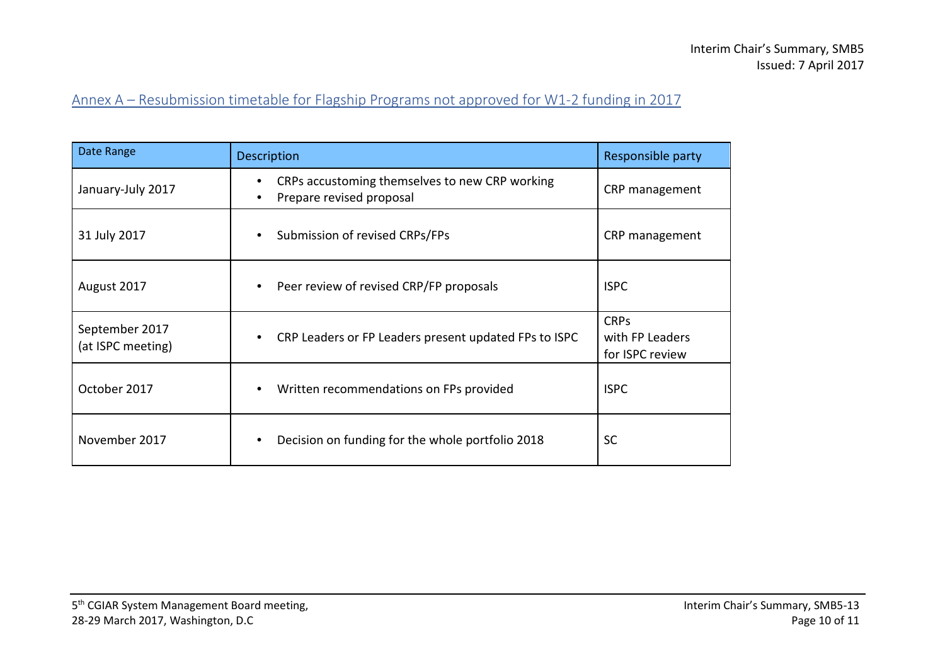# Annex A – Resubmission timetable for Flagship Programs not approved for W1-2 funding in 2017

| Date Range                          | <b>Description</b>                                                                                   | Responsible party                                 |
|-------------------------------------|------------------------------------------------------------------------------------------------------|---------------------------------------------------|
| January-July 2017                   | CRPs accustoming themselves to new CRP working<br>$\bullet$<br>Prepare revised proposal<br>$\bullet$ | CRP management                                    |
| 31 July 2017                        | Submission of revised CRPs/FPs<br>$\bullet$                                                          | CRP management                                    |
| August 2017                         | Peer review of revised CRP/FP proposals<br>$\bullet$                                                 | <b>ISPC</b>                                       |
| September 2017<br>(at ISPC meeting) | CRP Leaders or FP Leaders present updated FPs to ISPC<br>$\bullet$                                   | <b>CRPs</b><br>with FP Leaders<br>for ISPC review |
| October 2017                        | Written recommendations on FPs provided<br>$\bullet$                                                 | <b>ISPC</b>                                       |
| November 2017                       | Decision on funding for the whole portfolio 2018<br>$\bullet$                                        | <b>SC</b>                                         |